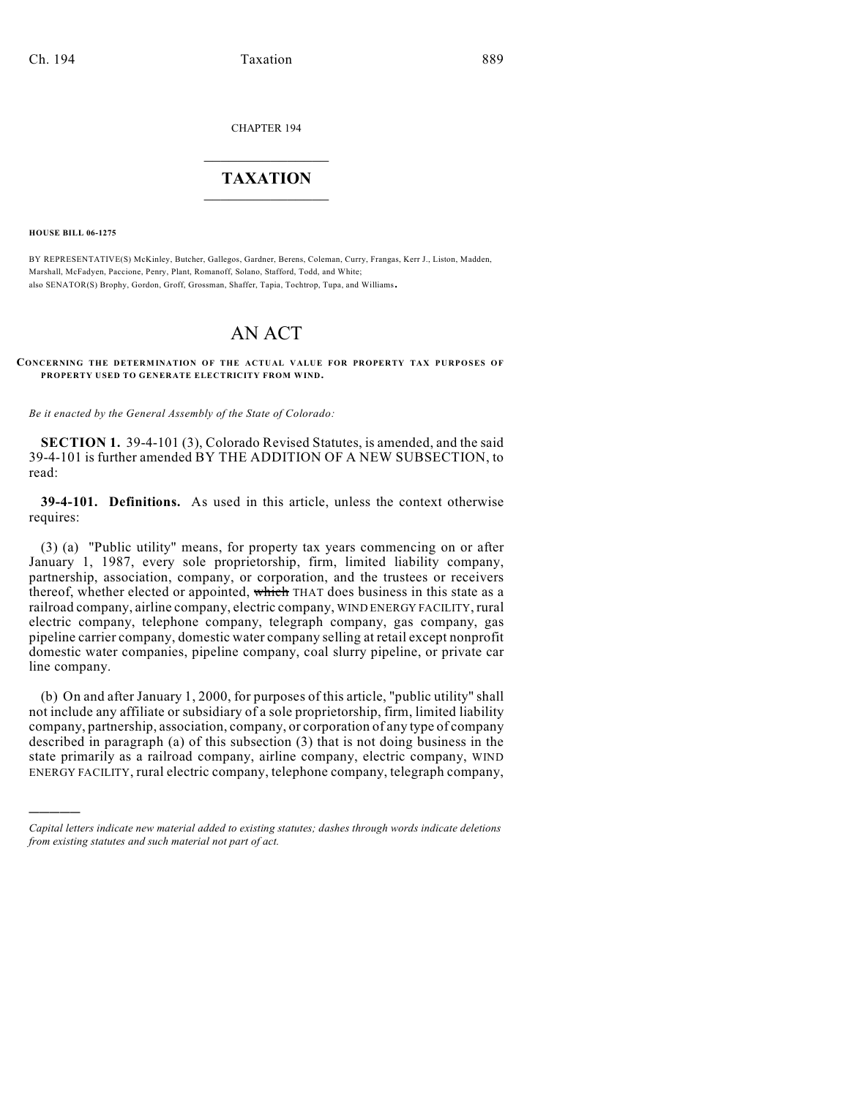CHAPTER 194

## $\overline{\phantom{a}}$  . The set of the set of the set of the set of the set of the set of the set of the set of the set of the set of the set of the set of the set of the set of the set of the set of the set of the set of the set o **TAXATION**  $\_$

**HOUSE BILL 06-1275**

)))))

BY REPRESENTATIVE(S) McKinley, Butcher, Gallegos, Gardner, Berens, Coleman, Curry, Frangas, Kerr J., Liston, Madden, Marshall, McFadyen, Paccione, Penry, Plant, Romanoff, Solano, Stafford, Todd, and White; also SENATOR(S) Brophy, Gordon, Groff, Grossman, Shaffer, Tapia, Tochtrop, Tupa, and Williams.

## AN ACT

## **CONCERNING THE DETERMINATION OF THE ACTUAL VALUE FOR PROPERTY TAX PURPOSES OF PROPERTY USED TO GENERATE ELECTRICITY FROM WIND.**

*Be it enacted by the General Assembly of the State of Colorado:*

**SECTION 1.** 39-4-101 (3), Colorado Revised Statutes, is amended, and the said 39-4-101 is further amended BY THE ADDITION OF A NEW SUBSECTION, to read:

**39-4-101. Definitions.** As used in this article, unless the context otherwise requires:

(3) (a) "Public utility" means, for property tax years commencing on or after January 1, 1987, every sole proprietorship, firm, limited liability company, partnership, association, company, or corporation, and the trustees or receivers thereof, whether elected or appointed, which THAT does business in this state as a railroad company, airline company, electric company, WIND ENERGY FACILITY, rural electric company, telephone company, telegraph company, gas company, gas pipeline carrier company, domestic water company selling at retail except nonprofit domestic water companies, pipeline company, coal slurry pipeline, or private car line company.

(b) On and after January 1, 2000, for purposes of this article, "public utility" shall not include any affiliate or subsidiary of a sole proprietorship, firm, limited liability company, partnership, association, company, or corporation of any type of company described in paragraph (a) of this subsection (3) that is not doing business in the state primarily as a railroad company, airline company, electric company, WIND ENERGY FACILITY, rural electric company, telephone company, telegraph company,

*Capital letters indicate new material added to existing statutes; dashes through words indicate deletions from existing statutes and such material not part of act.*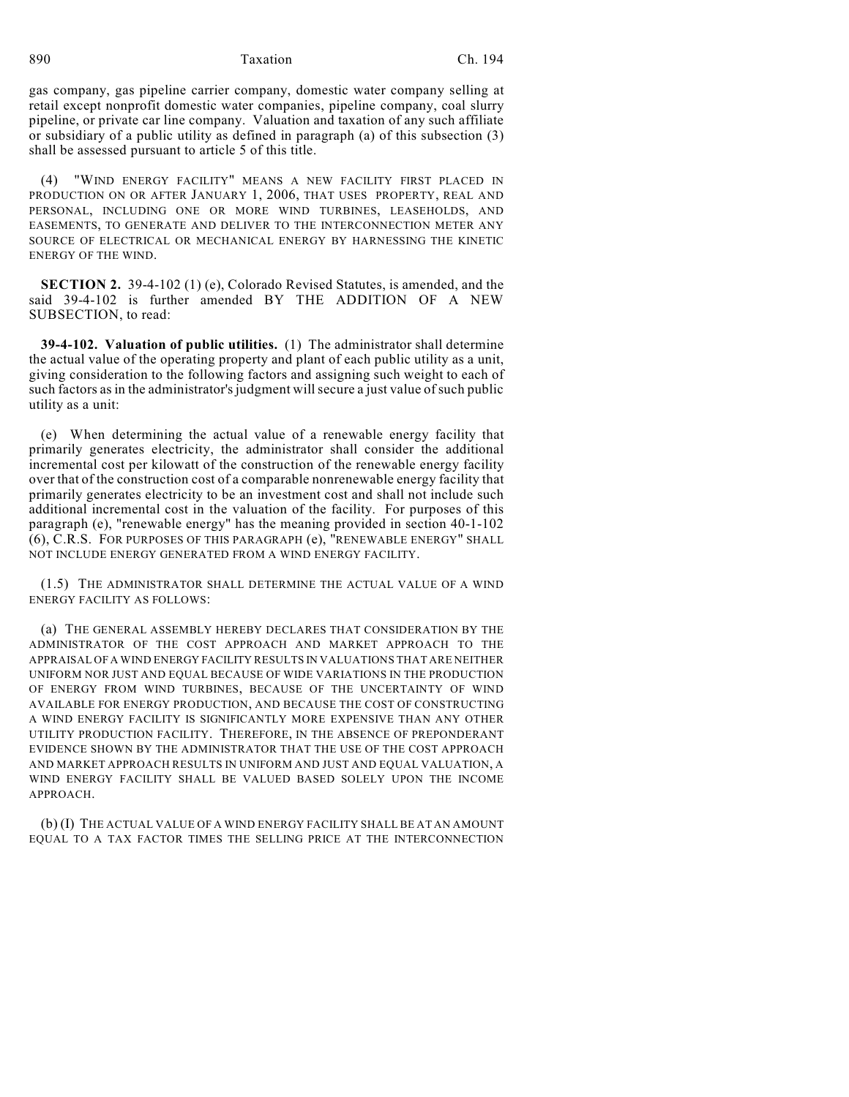890 Taxation Ch. 194

gas company, gas pipeline carrier company, domestic water company selling at retail except nonprofit domestic water companies, pipeline company, coal slurry pipeline, or private car line company. Valuation and taxation of any such affiliate or subsidiary of a public utility as defined in paragraph (a) of this subsection (3) shall be assessed pursuant to article 5 of this title.

(4) "WIND ENERGY FACILITY" MEANS A NEW FACILITY FIRST PLACED IN PRODUCTION ON OR AFTER JANUARY 1, 2006, THAT USES PROPERTY, REAL AND PERSONAL, INCLUDING ONE OR MORE WIND TURBINES, LEASEHOLDS, AND EASEMENTS, TO GENERATE AND DELIVER TO THE INTERCONNECTION METER ANY SOURCE OF ELECTRICAL OR MECHANICAL ENERGY BY HARNESSING THE KINETIC ENERGY OF THE WIND.

**SECTION 2.** 39-4-102 (1) (e), Colorado Revised Statutes, is amended, and the said 39-4-102 is further amended BY THE ADDITION OF A NEW SUBSECTION, to read:

**39-4-102. Valuation of public utilities.** (1) The administrator shall determine the actual value of the operating property and plant of each public utility as a unit, giving consideration to the following factors and assigning such weight to each of such factors as in the administrator's judgment will secure a just value of such public utility as a unit:

(e) When determining the actual value of a renewable energy facility that primarily generates electricity, the administrator shall consider the additional incremental cost per kilowatt of the construction of the renewable energy facility over that of the construction cost of a comparable nonrenewable energy facility that primarily generates electricity to be an investment cost and shall not include such additional incremental cost in the valuation of the facility. For purposes of this paragraph (e), "renewable energy" has the meaning provided in section 40-1-102 (6), C.R.S. FOR PURPOSES OF THIS PARAGRAPH (e), "RENEWABLE ENERGY" SHALL NOT INCLUDE ENERGY GENERATED FROM A WIND ENERGY FACILITY.

(1.5) THE ADMINISTRATOR SHALL DETERMINE THE ACTUAL VALUE OF A WIND ENERGY FACILITY AS FOLLOWS:

(a) THE GENERAL ASSEMBLY HEREBY DECLARES THAT CONSIDERATION BY THE ADMINISTRATOR OF THE COST APPROACH AND MARKET APPROACH TO THE APPRAISAL OF A WIND ENERGY FACILITY RESULTS IN VALUATIONS THAT ARE NEITHER UNIFORM NOR JUST AND EQUAL BECAUSE OF WIDE VARIATIONS IN THE PRODUCTION OF ENERGY FROM WIND TURBINES, BECAUSE OF THE UNCERTAINTY OF WIND AVAILABLE FOR ENERGY PRODUCTION, AND BECAUSE THE COST OF CONSTRUCTING A WIND ENERGY FACILITY IS SIGNIFICANTLY MORE EXPENSIVE THAN ANY OTHER UTILITY PRODUCTION FACILITY. THEREFORE, IN THE ABSENCE OF PREPONDERANT EVIDENCE SHOWN BY THE ADMINISTRATOR THAT THE USE OF THE COST APPROACH AND MARKET APPROACH RESULTS IN UNIFORM AND JUST AND EQUAL VALUATION, A WIND ENERGY FACILITY SHALL BE VALUED BASED SOLELY UPON THE INCOME APPROACH.

(b) (I) THE ACTUAL VALUE OF A WIND ENERGY FACILITY SHALL BE AT AN AMOUNT EQUAL TO A TAX FACTOR TIMES THE SELLING PRICE AT THE INTERCONNECTION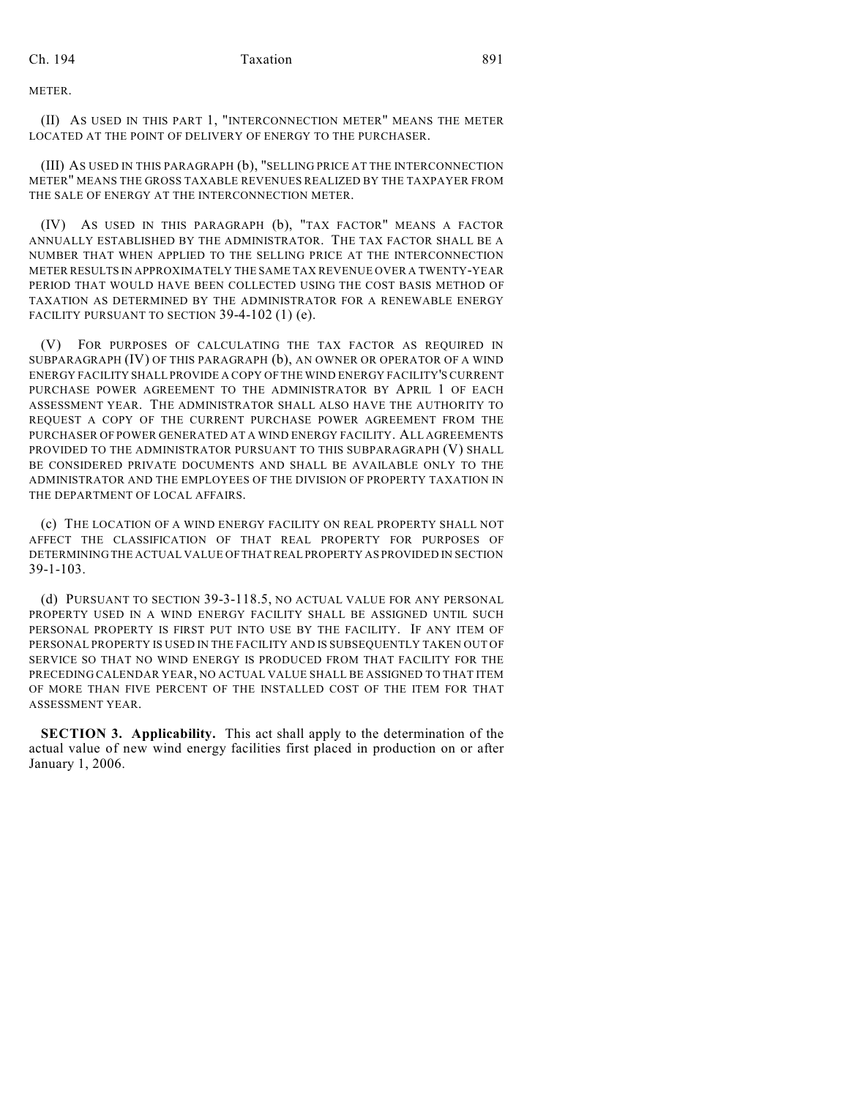METER.

(II) AS USED IN THIS PART 1, "INTERCONNECTION METER" MEANS THE METER LOCATED AT THE POINT OF DELIVERY OF ENERGY TO THE PURCHASER.

(III) AS USED IN THIS PARAGRAPH (b), "SELLING PRICE AT THE INTERCONNECTION METER" MEANS THE GROSS TAXABLE REVENUES REALIZED BY THE TAXPAYER FROM THE SALE OF ENERGY AT THE INTERCONNECTION METER.

(IV) AS USED IN THIS PARAGRAPH (b), "TAX FACTOR" MEANS A FACTOR ANNUALLY ESTABLISHED BY THE ADMINISTRATOR. THE TAX FACTOR SHALL BE A NUMBER THAT WHEN APPLIED TO THE SELLING PRICE AT THE INTERCONNECTION METER RESULTS IN APPROXIMATELY THE SAME TAX REVENUE OVER A TWENTY-YEAR PERIOD THAT WOULD HAVE BEEN COLLECTED USING THE COST BASIS METHOD OF TAXATION AS DETERMINED BY THE ADMINISTRATOR FOR A RENEWABLE ENERGY FACILITY PURSUANT TO SECTION 39-4-102 (1) (e).

(V) FOR PURPOSES OF CALCULATING THE TAX FACTOR AS REQUIRED IN SUBPARAGRAPH (IV) OF THIS PARAGRAPH (b), AN OWNER OR OPERATOR OF A WIND ENERGY FACILITY SHALL PROVIDE A COPY OF THE WIND ENERGY FACILITY'S CURRENT PURCHASE POWER AGREEMENT TO THE ADMINISTRATOR BY APRIL 1 OF EACH ASSESSMENT YEAR. THE ADMINISTRATOR SHALL ALSO HAVE THE AUTHORITY TO REQUEST A COPY OF THE CURRENT PURCHASE POWER AGREEMENT FROM THE PURCHASER OF POWER GENERATED AT A WIND ENERGY FACILITY. ALL AGREEMENTS PROVIDED TO THE ADMINISTRATOR PURSUANT TO THIS SUBPARAGRAPH (V) SHALL BE CONSIDERED PRIVATE DOCUMENTS AND SHALL BE AVAILABLE ONLY TO THE ADMINISTRATOR AND THE EMPLOYEES OF THE DIVISION OF PROPERTY TAXATION IN THE DEPARTMENT OF LOCAL AFFAIRS.

(c) THE LOCATION OF A WIND ENERGY FACILITY ON REAL PROPERTY SHALL NOT AFFECT THE CLASSIFICATION OF THAT REAL PROPERTY FOR PURPOSES OF DETERMINING THE ACTUAL VALUE OF THAT REAL PROPERTY AS PROVIDED IN SECTION 39-1-103.

(d) PURSUANT TO SECTION 39-3-118.5, NO ACTUAL VALUE FOR ANY PERSONAL PROPERTY USED IN A WIND ENERGY FACILITY SHALL BE ASSIGNED UNTIL SUCH PERSONAL PROPERTY IS FIRST PUT INTO USE BY THE FACILITY. IF ANY ITEM OF PERSONAL PROPERTY IS USED IN THE FACILITY AND IS SUBSEQUENTLY TAKEN OUT OF SERVICE SO THAT NO WIND ENERGY IS PRODUCED FROM THAT FACILITY FOR THE PRECEDING CALENDAR YEAR, NO ACTUAL VALUE SHALL BE ASSIGNED TO THAT ITEM OF MORE THAN FIVE PERCENT OF THE INSTALLED COST OF THE ITEM FOR THAT ASSESSMENT YEAR.

**SECTION 3. Applicability.** This act shall apply to the determination of the actual value of new wind energy facilities first placed in production on or after January 1, 2006.